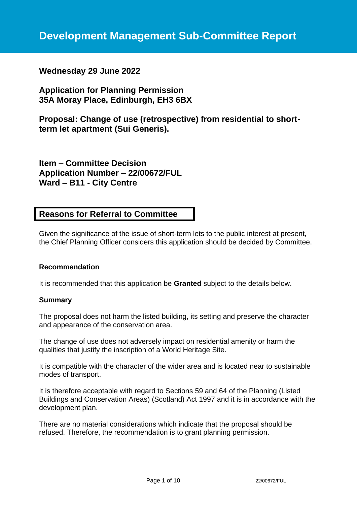# **Wednesday 29 June 2022**

# **Application for Planning Permission 35A Moray Place, Edinburgh, EH3 6BX**

**Proposal: Change of use (retrospective) from residential to shortterm let apartment (Sui Generis).**

**Item – Committee Decision Application Number – 22/00672/FUL Ward – B11 - City Centre**

# **Reasons for Referral to Committee**

Given the significance of the issue of short-term lets to the public interest at present, the Chief Planning Officer considers this application should be decided by Committee.

### **Recommendation**

It is recommended that this application be **Granted** subject to the details below.

#### **Summary**

The proposal does not harm the listed building, its setting and preserve the character and appearance of the conservation area.

The change of use does not adversely impact on residential amenity or harm the qualities that justify the inscription of a World Heritage Site.

It is compatible with the character of the wider area and is located near to sustainable modes of transport.

It is therefore acceptable with regard to Sections 59 and 64 of the Planning (Listed Buildings and Conservation Areas) (Scotland) Act 1997 and it is in accordance with the development plan.

There are no material considerations which indicate that the proposal should be refused. Therefore, the recommendation is to grant planning permission.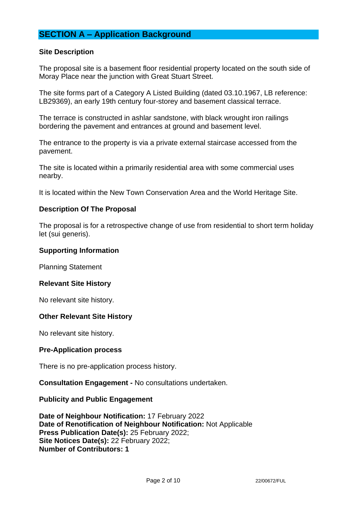# **SECTION A – Application Background**

### **Site Description**

The proposal site is a basement floor residential property located on the south side of Moray Place near the junction with Great Stuart Street.

The site forms part of a Category A Listed Building (dated 03.10.1967, LB reference: LB29369), an early 19th century four-storey and basement classical terrace.

The terrace is constructed in ashlar sandstone, with black wrought iron railings bordering the pavement and entrances at ground and basement level.

The entrance to the property is via a private external staircase accessed from the pavement.

The site is located within a primarily residential area with some commercial uses nearby.

It is located within the New Town Conservation Area and the World Heritage Site.

### **Description Of The Proposal**

The proposal is for a retrospective change of use from residential to short term holiday let (sui generis).

#### **Supporting Information**

Planning Statement

#### **Relevant Site History**

No relevant site history.

#### **Other Relevant Site History**

No relevant site history.

#### **Pre-Application process**

There is no pre-application process history.

**Consultation Engagement -** No consultations undertaken.

#### **Publicity and Public Engagement**

**Date of Neighbour Notification:** 17 February 2022 **Date of Renotification of Neighbour Notification:** Not Applicable **Press Publication Date(s):** 25 February 2022; **Site Notices Date(s):** 22 February 2022; **Number of Contributors: 1**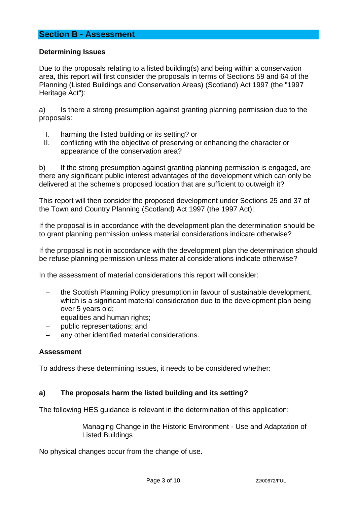# **Section B - Assessment**

### **Determining Issues**

Due to the proposals relating to a listed building(s) and being within a conservation area, this report will first consider the proposals in terms of Sections 59 and 64 of the Planning (Listed Buildings and Conservation Areas) (Scotland) Act 1997 (the "1997 Heritage Act"):

a) Is there a strong presumption against granting planning permission due to the proposals:

- I. harming the listed building or its setting? or
- II. conflicting with the objective of preserving or enhancing the character or appearance of the conservation area?

b) If the strong presumption against granting planning permission is engaged, are there any significant public interest advantages of the development which can only be delivered at the scheme's proposed location that are sufficient to outweigh it?

This report will then consider the proposed development under Sections 25 and 37 of the Town and Country Planning (Scotland) Act 1997 (the 1997 Act):

If the proposal is in accordance with the development plan the determination should be to grant planning permission unless material considerations indicate otherwise?

If the proposal is not in accordance with the development plan the determination should be refuse planning permission unless material considerations indicate otherwise?

In the assessment of material considerations this report will consider:

- − the Scottish Planning Policy presumption in favour of sustainable development, which is a significant material consideration due to the development plan being over 5 years old;
- − equalities and human rights;
- − public representations; and
- any other identified material considerations.

#### **Assessment**

To address these determining issues, it needs to be considered whether:

### **a) The proposals harm the listed building and its setting?**

The following HES guidance is relevant in the determination of this application:

− Managing Change in the Historic Environment - Use and Adaptation of Listed Buildings

No physical changes occur from the change of use.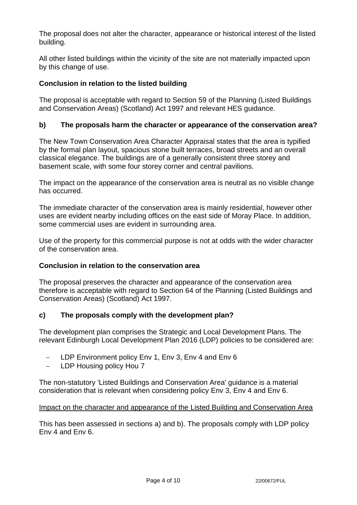The proposal does not alter the character, appearance or historical interest of the listed building.

All other listed buildings within the vicinity of the site are not materially impacted upon by this change of use.

# **Conclusion in relation to the listed building**

The proposal is acceptable with regard to Section 59 of the Planning (Listed Buildings and Conservation Areas) (Scotland) Act 1997 and relevant HES guidance.

# **b) The proposals harm the character or appearance of the conservation area?**

The New Town Conservation Area Character Appraisal states that the area is typified by the formal plan layout, spacious stone built terraces, broad streets and an overall classical elegance. The buildings are of a generally consistent three storey and basement scale, with some four storey corner and central pavilions.

The impact on the appearance of the conservation area is neutral as no visible change has occurred.

The immediate character of the conservation area is mainly residential, however other uses are evident nearby including offices on the east side of Moray Place. In addition, some commercial uses are evident in surrounding area.

Use of the property for this commercial purpose is not at odds with the wider character of the conservation area.

## **Conclusion in relation to the conservation area**

The proposal preserves the character and appearance of the conservation area therefore is acceptable with regard to Section 64 of the Planning (Listed Buildings and Conservation Areas) (Scotland) Act 1997.

## **c) The proposals comply with the development plan?**

The development plan comprises the Strategic and Local Development Plans. The relevant Edinburgh Local Development Plan 2016 (LDP) policies to be considered are:

- − LDP Environment policy Env 1, Env 3, Env 4 and Env 6
- − LDP Housing policy Hou 7

The non-statutory 'Listed Buildings and Conservation Area' guidance is a material consideration that is relevant when considering policy Env 3, Env 4 and Env 6.

## Impact on the character and appearance of the Listed Building and Conservation Area

This has been assessed in sections a) and b). The proposals comply with LDP policy Env 4 and Env 6.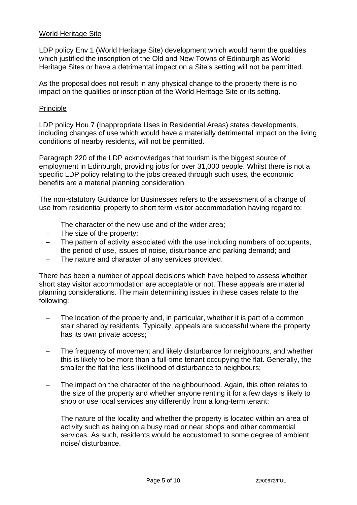### World Heritage Site

LDP policy Env 1 (World Heritage Site) development which would harm the qualities which justified the inscription of the Old and New Towns of Edinburgh as World Heritage Sites or have a detrimental impact on a Site's setting will not be permitted.

As the proposal does not result in any physical change to the property there is no impact on the qualities or inscription of the World Heritage Site or its setting.

### **Principle**

LDP policy Hou 7 (Inappropriate Uses in Residential Areas) states developments, including changes of use which would have a materially detrimental impact on the living conditions of nearby residents, will not be permitted.

Paragraph 220 of the LDP acknowledges that tourism is the biggest source of employment in Edinburgh, providing jobs for over 31,000 people. Whilst there is not a specific LDP policy relating to the jobs created through such uses, the economic benefits are a material planning consideration.

The non-statutory Guidance for Businesses refers to the assessment of a change of use from residential property to short term visitor accommodation having regard to:

- The character of the new use and of the wider area:
- − The size of the property;
- The pattern of activity associated with the use including numbers of occupants, the period of use, issues of noise, disturbance and parking demand; and
- The nature and character of any services provided.

There has been a number of appeal decisions which have helped to assess whether short stay visitor accommodation are acceptable or not. These appeals are material planning considerations. The main determining issues in these cases relate to the following:

- The location of the property and, in particular, whether it is part of a common stair shared by residents. Typically, appeals are successful where the property has its own private access;
- − The frequency of movement and likely disturbance for neighbours, and whether this is likely to be more than a full-time tenant occupying the flat. Generally, the smaller the flat the less likelihood of disturbance to neighbours;
- The impact on the character of the neighbourhood. Again, this often relates to the size of the property and whether anyone renting it for a few days is likely to shop or use local services any differently from a long-term tenant;
- The nature of the locality and whether the property is located within an area of activity such as being on a busy road or near shops and other commercial services. As such, residents would be accustomed to some degree of ambient noise/ disturbance.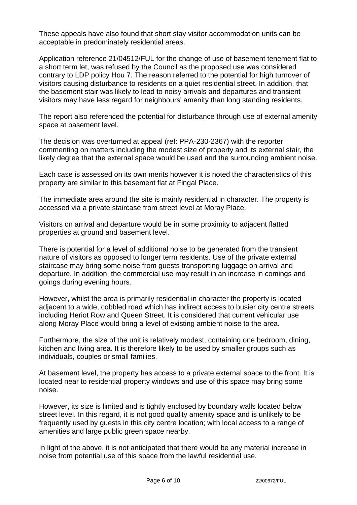These appeals have also found that short stay visitor accommodation units can be acceptable in predominately residential areas.

Application reference 21/04512/FUL for the change of use of basement tenement flat to a short term let, was refused by the Council as the proposed use was considered contrary to LDP policy Hou 7. The reason referred to the potential for high turnover of visitors causing disturbance to residents on a quiet residential street. In addition, that the basement stair was likely to lead to noisy arrivals and departures and transient visitors may have less regard for neighbours' amenity than long standing residents.

The report also referenced the potential for disturbance through use of external amenity space at basement level.

The decision was overturned at appeal (ref: PPA-230-2367) with the reporter commenting on matters including the modest size of property and its external stair, the likely degree that the external space would be used and the surrounding ambient noise.

Each case is assessed on its own merits however it is noted the characteristics of this property are similar to this basement flat at Fingal Place.

The immediate area around the site is mainly residential in character. The property is accessed via a private staircase from street level at Moray Place.

Visitors on arrival and departure would be in some proximity to adjacent flatted properties at ground and basement level.

There is potential for a level of additional noise to be generated from the transient nature of visitors as opposed to longer term residents. Use of the private external staircase may bring some noise from guests transporting luggage on arrival and departure. In addition, the commercial use may result in an increase in comings and goings during evening hours.

However, whilst the area is primarily residential in character the property is located adjacent to a wide, cobbled road which has indirect access to busier city centre streets including Heriot Row and Queen Street. It is considered that current vehicular use along Moray Place would bring a level of existing ambient noise to the area.

Furthermore, the size of the unit is relatively modest, containing one bedroom, dining, kitchen and living area. It is therefore likely to be used by smaller groups such as individuals, couples or small families.

At basement level, the property has access to a private external space to the front. It is located near to residential property windows and use of this space may bring some noise.

However, its size is limited and is tightly enclosed by boundary walls located below street level. In this regard, it is not good quality amenity space and is unlikely to be frequently used by guests in this city centre location; with local access to a range of amenities and large public green space nearby.

In light of the above, it is not anticipated that there would be any material increase in noise from potential use of this space from the lawful residential use.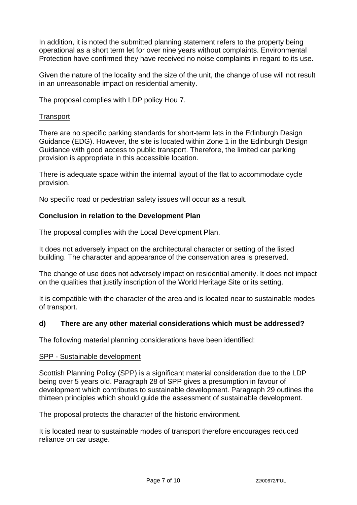In addition, it is noted the submitted planning statement refers to the property being operational as a short term let for over nine years without complaints. Environmental Protection have confirmed they have received no noise complaints in regard to its use.

Given the nature of the locality and the size of the unit, the change of use will not result in an unreasonable impact on residential amenity.

The proposal complies with LDP policy Hou 7.

#### **Transport**

There are no specific parking standards for short-term lets in the Edinburgh Design Guidance (EDG). However, the site is located within Zone 1 in the Edinburgh Design Guidance with good access to public transport. Therefore, the limited car parking provision is appropriate in this accessible location.

There is adequate space within the internal layout of the flat to accommodate cycle provision.

No specific road or pedestrian safety issues will occur as a result.

### **Conclusion in relation to the Development Plan**

The proposal complies with the Local Development Plan.

It does not adversely impact on the architectural character or setting of the listed building. The character and appearance of the conservation area is preserved.

The change of use does not adversely impact on residential amenity. It does not impact on the qualities that justify inscription of the World Heritage Site or its setting.

It is compatible with the character of the area and is located near to sustainable modes of transport.

### **d) There are any other material considerations which must be addressed?**

The following material planning considerations have been identified:

#### SPP - Sustainable development

Scottish Planning Policy (SPP) is a significant material consideration due to the LDP being over 5 years old. Paragraph 28 of SPP gives a presumption in favour of development which contributes to sustainable development. Paragraph 29 outlines the thirteen principles which should guide the assessment of sustainable development.

The proposal protects the character of the historic environment.

It is located near to sustainable modes of transport therefore encourages reduced reliance on car usage.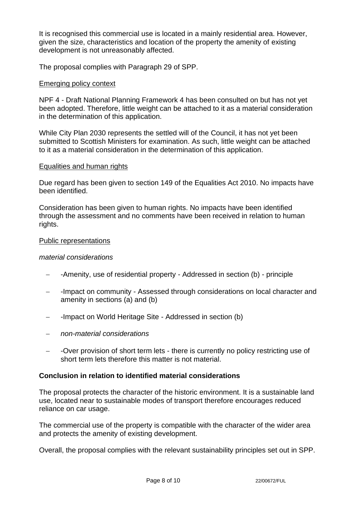It is recognised this commercial use is located in a mainly residential area. However, given the size, characteristics and location of the property the amenity of existing development is not unreasonably affected.

The proposal complies with Paragraph 29 of SPP.

### Emerging policy context

NPF 4 - Draft National Planning Framework 4 has been consulted on but has not yet been adopted. Therefore, little weight can be attached to it as a material consideration in the determination of this application.

While City Plan 2030 represents the settled will of the Council, it has not yet been submitted to Scottish Ministers for examination. As such, little weight can be attached to it as a material consideration in the determination of this application.

### Equalities and human rights

Due regard has been given to section 149 of the Equalities Act 2010. No impacts have been identified.

Consideration has been given to human rights. No impacts have been identified through the assessment and no comments have been received in relation to human rights.

### Public representations

#### *material considerations*

- − -Amenity, use of residential property Addressed in section (b) principle
- − -Impact on community Assessed through considerations on local character and amenity in sections (a) and (b)
- − -Impact on World Heritage Site Addressed in section (b)
- − *non-material considerations*
- − -Over provision of short term lets there is currently no policy restricting use of short term lets therefore this matter is not material.

### **Conclusion in relation to identified material considerations**

The proposal protects the character of the historic environment. It is a sustainable land use, located near to sustainable modes of transport therefore encourages reduced reliance on car usage.

The commercial use of the property is compatible with the character of the wider area and protects the amenity of existing development.

Overall, the proposal complies with the relevant sustainability principles set out in SPP.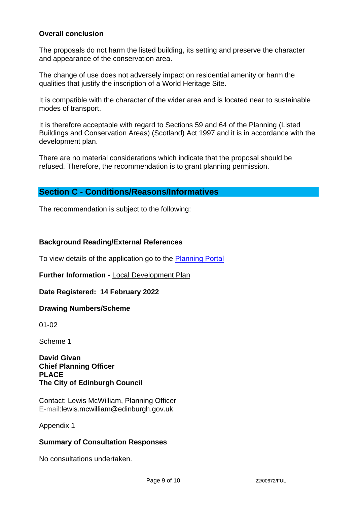### **Overall conclusion**

The proposals do not harm the listed building, its setting and preserve the character and appearance of the conservation area.

The change of use does not adversely impact on residential amenity or harm the qualities that justify the inscription of a World Heritage Site.

It is compatible with the character of the wider area and is located near to sustainable modes of transport.

It is therefore acceptable with regard to Sections 59 and 64 of the Planning (Listed Buildings and Conservation Areas) (Scotland) Act 1997 and it is in accordance with the development plan.

There are no material considerations which indicate that the proposal should be refused. Therefore, the recommendation is to grant planning permission.

## **Section C - Conditions/Reasons/Informatives**

The recommendation is subject to the following:

### **Background Reading/External References**

To view details of the application go to the [Planning Portal](https://citydev-portal.edinburgh.gov.uk/idoxpa-web/applicationDetails.do?activeTab=summary&keyVal=R7AD2NEWHMK00)

**Further Information -** [Local Development Plan](https://www.edinburgh.gov.uk/local-development-plan-guidance-1/edinburgh-local-development-plan/1)

### **Date Registered: 14 February 2022**

### **Drawing Numbers/Scheme**

01-02

Scheme 1

### **David Givan Chief Planning Officer PLACE The City of Edinburgh Council**

Contact: Lewis McWilliam, Planning Officer E-mail:lewis.mcwilliam@edinburgh.gov.uk

Appendix 1

### **Summary of Consultation Responses**

No consultations undertaken.